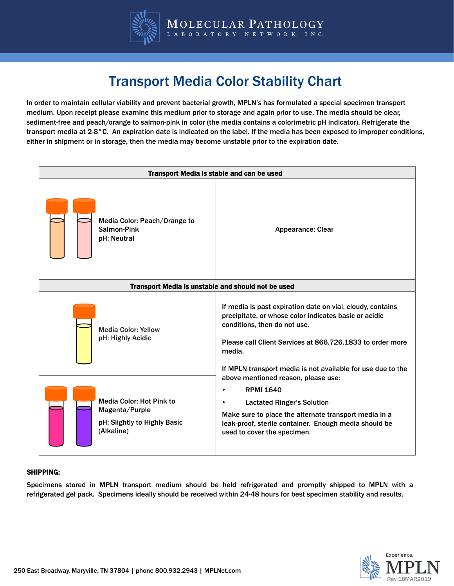

# Transport Media Color Stability Chart

In order to maintain cellular viability and prevent bacterial growth, MPLN's has formulated a special specimen transport medium. Upon receipt please examine this medium prior to storage and again prior to use. The media should be clear, sediment-free and peach/orange to salmon-pink in color (the media contains a colorimetric pH indicator). Refrigerate the transport media at 2-8°C. An expiration date is indicated on the label. If the media has been exposed to improper conditions, either in shipment or in storage, then the media may become unstable prior to the expiration date.

| Transport Media is stable and can be used                                                                                                          |                                                                                                                                                                                                                                                                                                                                                                                                                                                                                                                                                                      |  |
|----------------------------------------------------------------------------------------------------------------------------------------------------|----------------------------------------------------------------------------------------------------------------------------------------------------------------------------------------------------------------------------------------------------------------------------------------------------------------------------------------------------------------------------------------------------------------------------------------------------------------------------------------------------------------------------------------------------------------------|--|
| Media Color: Peach/Orange to<br>Salmon-Pink<br>pH: Neutral                                                                                         | <b>Appearance: Clear</b>                                                                                                                                                                                                                                                                                                                                                                                                                                                                                                                                             |  |
| Transport Media is unstable and should not be used                                                                                                 |                                                                                                                                                                                                                                                                                                                                                                                                                                                                                                                                                                      |  |
| <b>Media Color: Yellow</b><br>pH: Highly Acidic<br><b>Media Color: Hot Pink to</b><br>Magenta/Purple<br>pH: Slightly to Highly Basic<br>(Alkaline) | If media is past expiration date on vial, cloudy, contains<br>precipitate, or whose color indicates basic or acidic<br>conditions, then do not use.<br>Please call Client Services at 866.726.1833 to order more<br>media.<br>If MPLN transport media is not available for use due to the<br>above mentioned reason, please use:<br><b>RPMI 1640</b><br>$\bullet$<br><b>Lactated Ringer's Solution</b><br>$\bullet$<br>Make sure to place the alternate transport media in a<br>leak-proof, sterile container. Enough media should be<br>used to cover the specimen. |  |

#### SHIPPING:

Specimens stored in MPLN transport medium should be held refrigerated and promptly shipped to MPLN with a refrigerated gel pack. Specimens ideally should be received within 24-48 hours for best specimen stability and results.